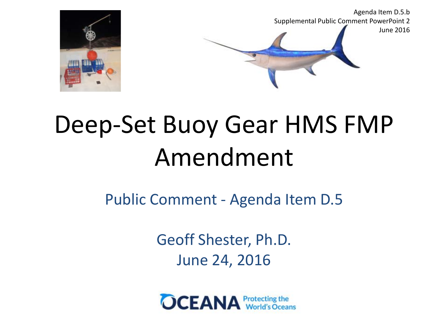

# Deep-Set Buoy Gear HMS FMP Amendment

Public Comment - Agenda Item D.5

Geoff Shester, Ph.D. June 24, 2016

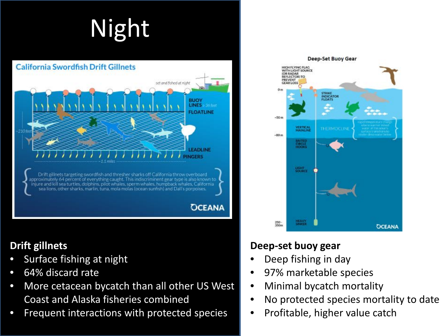# Night



#### **Drift gillnets**

- Surface fishing at night
- 64% discard rate
- More cetacean bycatch than all other US West Coast and Alaska fisheries combined
- Frequent interactions with protected species



#### **Deep-set buoy gear**

- Deep fishing in day
- 97% marketable species
- Minimal bycatch mortality
- No protected species mortality to date
- Profitable, higher value catch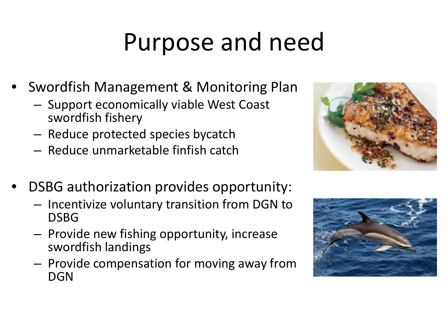# Purpose and need

- Swordfish Management & Monitoring Plan
	- Support economically viable West Coast swordfish fishery
	- Reduce protected species bycatch
	- Reduce unmarketable finfish catch



- DSBG authorization provides opportunity:
	- Incentivize voluntary transition from DGN to DSBG
	- Provide new fishing opportunity, increase swordfish landings
	- Provide compensation for moving away from DGN

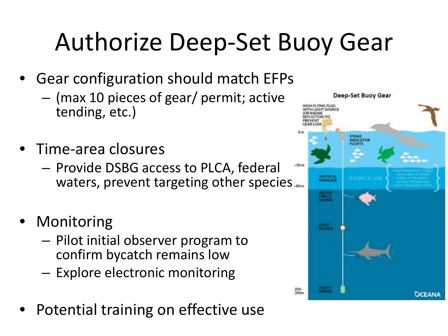# Authorize Deep-Set Buoy Gear

- Gear configuration should match EFPs
	- (max 10 pieces of gear/ permit; active tending, etc.)
- Time-area closures
	- Provide DSBG access to PLCA, federal waters, prevent targeting other species....
- **Monitoring** 
	- Pilot initial observer program to confirm bycatch remains low
	- Explore electronic monitoring
- Potential training on effective use

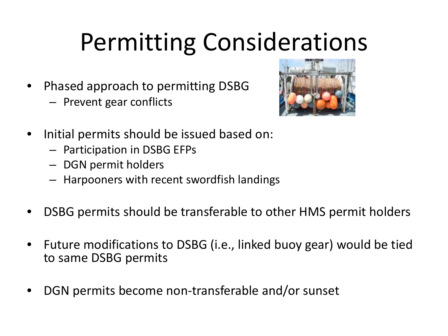# Permitting Considerations

- Phased approach to permitting DSBG
	- Prevent gear conflicts



- Initial permits should be issued based on:
	- Participation in DSBG EFPs
	- DGN permit holders
	- Harpooners with recent swordfish landings
- DSBG permits should be transferable to other HMS permit holders
- Future modifications to DSBG (i.e., linked buoy gear) would be tied to same DSBG permits
- DGN permits become non-transferable and/or sunset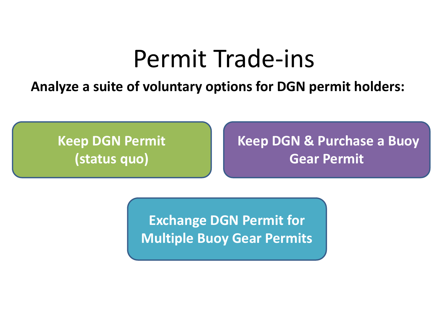### Permit Trade-ins

**Analyze a suite of voluntary options for DGN permit holders:**

**Keep DGN Permit (status quo)**

**Keep DGN & Purchase a Buoy Gear Permit**

**Exchange DGN Permit for Multiple Buoy Gear Permits**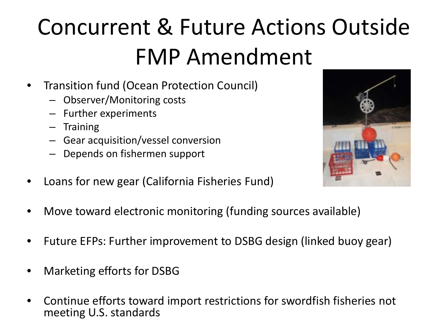## Concurrent & Future Actions Outside FMP Amendment

- Transition fund (Ocean Protection Council)
	- Observer/Monitoring costs
	- Further experiments
	- **Training**
	- Gear acquisition/vessel conversion
	- Depends on fishermen support
- Loans for new gear (California Fisheries Fund)



- Move toward electronic monitoring (funding sources available)
- Future EFPs: Further improvement to DSBG design (linked buoy gear)
- Marketing efforts for DSBG
- Continue efforts toward import restrictions for swordfish fisheries not meeting U.S. standards